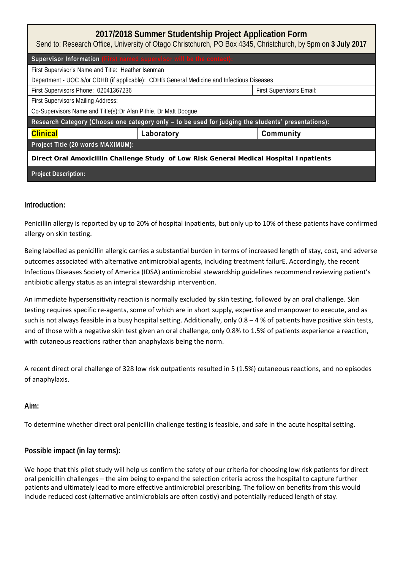| 2017/2018 Summer Studentship Project Application Form<br>Send to: Research Office, University of Otago Christchurch, PO Box 4345, Christchurch, by 5pm on 3 July 2017 |            |                          |  |  |
|-----------------------------------------------------------------------------------------------------------------------------------------------------------------------|------------|--------------------------|--|--|
| Supervisor Information (First named supervisor will be the contact):                                                                                                  |            |                          |  |  |
| First Supervisor's Name and Title: Heather Isenman                                                                                                                    |            |                          |  |  |
| Department - UOC &/or CDHB (if applicable): CDHB General Medicine and Infectious Diseases                                                                             |            |                          |  |  |
| First Supervisors Phone: 02041367236                                                                                                                                  |            | First Supervisors Email: |  |  |
| First Supervisors Mailing Address:                                                                                                                                    |            |                          |  |  |
| Co-Supervisors Name and Title(s): Dr Alan Pithie, Dr Matt Doogue,                                                                                                     |            |                          |  |  |
| Research Category (Choose one category only - to be used for judging the students' presentations):                                                                    |            |                          |  |  |
| Clinical                                                                                                                                                              | Laboratory | Community                |  |  |
| Project Title (20 words MAXIMUM):                                                                                                                                     |            |                          |  |  |
| Direct Oral Amoxicillin Challenge Study of Low Risk General Medical Hospital Inpatients                                                                               |            |                          |  |  |
| <b>Project Description:</b>                                                                                                                                           |            |                          |  |  |

# **Introduction:**

Penicillin allergy is reported by up to 20% of hospital inpatients, but only up to 10% of these patients have confirmed allergy on skin testing.

Being labelled as penicillin allergic carries a substantial burden in terms of increased length of stay, cost, and adverse outcomes associated with alternative antimicrobial agents, including treatment failurE. Accordingly, the recent Infectious Diseases Society of America (IDSA) antimicrobial stewardship guidelines recommend reviewing patient's antibiotic allergy status as an integral stewardship intervention.

An immediate hypersensitivity reaction is normally excluded by skin testing, followed by an oral challenge. Skin testing requires specific re-agents, some of which are in short supply, expertise and manpower to execute, and as such is not always feasible in a busy hospital setting. Additionally, only  $0.8 - 4$  % of patients have positive skin tests, and of those with a negative skin test given an oral challenge, only 0.8% to 1.5% of patients experience a reaction, with cutaneous reactions rather than anaphylaxis being the norm.

A recent direct oral challenge of 328 low risk outpatients resulted in 5 (1.5%) cutaneous reactions, and no episodes of anaphylaxis.

**Aim:** 

To determine whether direct oral penicillin challenge testing is feasible, and safe in the acute hospital setting.

# **Possible impact (in lay terms):**

We hope that this pilot study will help us confirm the safety of our criteria for choosing low risk patients for direct oral penicillin challenges – the aim being to expand the selection criteria across the hospital to capture further patients and ultimately lead to more effective antimicrobial prescribing. The follow on benefits from this would include reduced cost (alternative antimicrobials are often costly) and potentially reduced length of stay.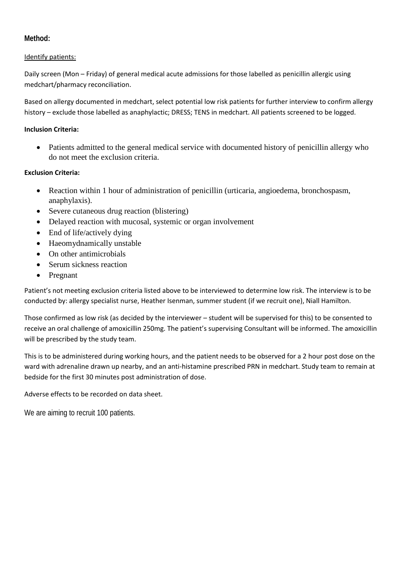**Method:** 

## Identify patients:

Daily screen (Mon – Friday) of general medical acute admissions for those labelled as penicillin allergic using medchart/pharmacy reconciliation.

Based on allergy documented in medchart, select potential low risk patients for further interview to confirm allergy history – exclude those labelled as anaphylactic; DRESS; TENS in medchart. All patients screened to be logged.

## **Inclusion Criteria:**

 Patients admitted to the general medical service with documented history of penicillin allergy who do not meet the exclusion criteria.

## **Exclusion Criteria:**

- Reaction within 1 hour of administration of penicillin (urticaria, angioedema, bronchospasm, anaphylaxis).
- Severe cutaneous drug reaction (blistering)
- Delayed reaction with mucosal, systemic or organ involvement
- End of life/actively dying
- Haeomydnamically unstable
- On other antimicrobials
- Serum sickness reaction
- Pregnant

Patient's not meeting exclusion criteria listed above to be interviewed to determine low risk. The interview is to be conducted by: allergy specialist nurse, Heather Isenman, summer student (if we recruit one), Niall Hamilton.

Those confirmed as low risk (as decided by the interviewer – student will be supervised for this) to be consented to receive an oral challenge of amoxicillin 250mg. The patient's supervising Consultant will be informed. The amoxicillin will be prescribed by the study team.

This is to be administered during working hours, and the patient needs to be observed for a 2 hour post dose on the ward with adrenaline drawn up nearby, and an anti-histamine prescribed PRN in medchart. Study team to remain at bedside for the first 30 minutes post administration of dose.

Adverse effects to be recorded on data sheet.

We are aiming to recruit 100 patients.